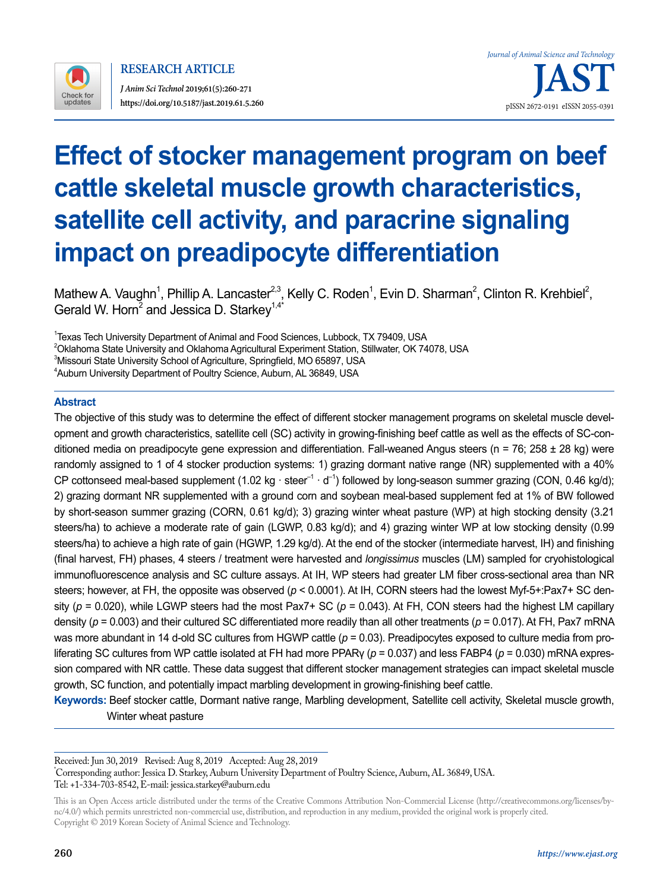

**RESEARCH ARTICLE**

*J Anim Sci Technol* **2019;61(5):260-271 https://doi.org/10.5187/jast.2019.61.5.260** pISSN 2672-0191 eISSN 2055-0391

# **Effect of stocker management program on beef cattle skeletal muscle growth characteristics, satellite cell activity, and paracrine signaling impact on preadipocyte differentiation**

Mathew A. Vaughn<sup>1</sup>, Phillip A. Lancaster<sup>2,3</sup>, Kelly C. Roden<sup>1</sup>, Evin D. Sharman<sup>2</sup>, Clinton R. Krehbiel<sup>2</sup>, Gerald W. Horn<sup>2</sup> and Jessica D. Starkey<sup>1,4\*</sup>

<sup>1</sup>Texas Tech University Department of Animal and Food Sciences, Lubbock, TX 79409, USA  $^2$ Oklahoma State University and Oklahoma Agricultural Experiment Station, Stillwater, OK 74078, USA  $^3$ Missouri State University School of Agriculture, Springfield, MO 65897, USA 4 Auburn University Department of Poultry Science, Auburn, AL 36849, USA

## **Abstract**

The objective of this study was to determine the effect of different stocker management programs on skeletal muscle development and growth characteristics, satellite cell (SC) activity in growing-finishing beef cattle as well as the effects of SC-conditioned media on preadipocyte gene expression and differentiation. Fall-weaned Angus steers ( $n = 76$ ; 258  $\pm$  28 kg) were randomly assigned to 1 of 4 stocker production systems: 1) grazing dormant native range (NR) supplemented with a 40% CP cottonseed meal-based supplement (1.02 kg ⋅ steer<sup>-1</sup> ⋅ d<sup>-1</sup>) followed by long-season summer grazing (CON, 0.46 kg/d); 2) grazing dormant NR supplemented with a ground corn and soybean meal-based supplement fed at 1% of BW followed by short-season summer grazing (CORN, 0.61 kg/d); 3) grazing winter wheat pasture (WP) at high stocking density (3.21 steers/ha) to achieve a moderate rate of gain (LGWP, 0.83 kg/d); and 4) grazing winter WP at low stocking density (0.99 steers/ha) to achieve a high rate of gain (HGWP, 1.29 kg/d). At the end of the stocker (intermediate harvest, IH) and finishing (final harvest, FH) phases, 4 steers / treatment were harvested and *longissimus* muscles (LM) sampled for cryohistological immunofluorescence analysis and SC culture assays. At IH, WP steers had greater LM fiber cross-sectional area than NR steers; however, at FH, the opposite was observed (*p* < 0.0001). At IH, CORN steers had the lowest Myf-5+:Pax7+ SC density (*p* = 0.020), while LGWP steers had the most Pax7+ SC (*p* = 0.043). At FH, CON steers had the highest LM capillary density (*p* = 0.003) and their cultured SC differentiated more readily than all other treatments (*p* = 0.017). At FH, Pax7 mRNA was more abundant in 14 d-old SC cultures from HGWP cattle ( $p = 0.03$ ). Preadipocytes exposed to culture media from proliferating SC cultures from WP cattle isolated at FH had more PPARγ (*p* = 0.037) and less FABP4 (*p* = 0.030) mRNA expression compared with NR cattle. These data suggest that different stocker management strategies can impact skeletal muscle growth, SC function, and potentially impact marbling development in growing-finishing beef cattle.

**Keywords:** Beef stocker cattle, Dormant native range, Marbling development, Satellite cell activity, Skeletal muscle growth, Winter wheat pasture

Received: Jun 30, 2019 Revised: Aug 8, 2019 Accepted: Aug 28, 2019 \* Corresponding author: Jessica D. Starkey, Auburn University Department of Poultry Science, Auburn, AL 36849, USA. Tel: +1-334-703-8542, E-mail: jessica.starkey@auburn.edu

This is an Open Access article distributed under the terms of the Creative Commons Attribution Non-Commercial License ([http://creativecommons.org/licenses/by](http://creativecommons.org/licenses/by-nc/4.0/)[nc/4.0/\)](http://creativecommons.org/licenses/by-nc/4.0/) which permits unrestricted non-commercial use, distribution, and reproduction in any medium, provided the original work is properly cited. Copyright © 2019 Korean Society of Animal Science and Technology.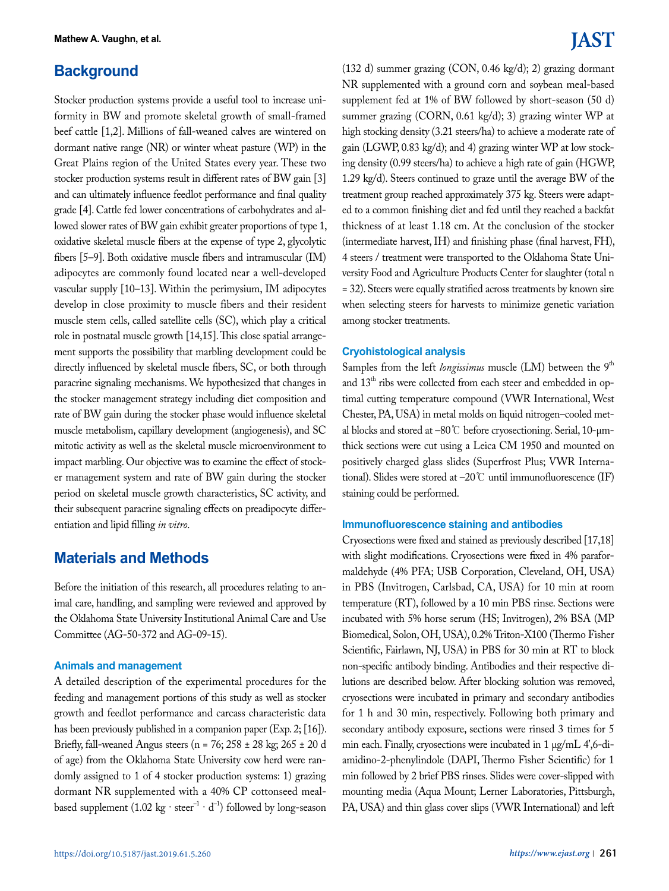## **Background**

Stocker production systems provide a useful tool to increase uniformity in BW and promote skeletal growth of small-framed beef cattle [1,2]. Millions of fall-weaned calves are wintered on dormant native range (NR) or winter wheat pasture (WP) in the Great Plains region of the United States every year. These two stocker production systems result in different rates of BW gain [3] and can ultimately influence feedlot performance and final quality grade [4]. Cattle fed lower concentrations of carbohydrates and allowed slower rates of BW gain exhibit greater proportions of type 1, oxidative skeletal muscle fibers at the expense of type 2, glycolytic fibers [5–9]. Both oxidative muscle fibers and intramuscular (IM) adipocytes are commonly found located near a well-developed vascular supply [10–13]. Within the perimysium, IM adipocytes develop in close proximity to muscle fibers and their resident muscle stem cells, called satellite cells (SC), which play a critical role in postnatal muscle growth [14,15]. This close spatial arrangement supports the possibility that marbling development could be directly influenced by skeletal muscle fibers, SC, or both through paracrine signaling mechanisms. We hypothesized that changes in the stocker management strategy including diet composition and rate of BW gain during the stocker phase would influence skeletal muscle metabolism, capillary development (angiogenesis), and SC mitotic activity as well as the skeletal muscle microenvironment to impact marbling. Our objective was to examine the effect of stocker management system and rate of BW gain during the stocker period on skeletal muscle growth characteristics, SC activity, and their subsequent paracrine signaling effects on preadipocyte differentiation and lipid filling *in vitro*.

## **Materials and Methods**

Before the initiation of this research, all procedures relating to animal care, handling, and sampling were reviewed and approved by the Oklahoma State University Institutional Animal Care and Use Committee (AG-50-372 and AG-09-15).

### **Animals and management**

A detailed description of the experimental procedures for the feeding and management portions of this study as well as stocker growth and feedlot performance and carcass characteristic data has been previously published in a companion paper (Exp. 2; [16]). Briefly, fall-weaned Angus steers (n = 76; 258 ± 28 kg; 265 ± 20 d of age) from the Oklahoma State University cow herd were randomly assigned to 1 of 4 stocker production systems: 1) grazing dormant NR supplemented with a 40% CP cottonseed mealbased supplement (1.02 kg ⋅ steer<sup>-1</sup> ⋅  $d^{-1}$ ) followed by long-season

# **IAST**

(132 d) summer grazing (CON, 0.46 kg/d); 2) grazing dormant NR supplemented with a ground corn and soybean meal-based supplement fed at 1% of BW followed by short-season (50 d) summer grazing (CORN, 0.61 kg/d); 3) grazing winter WP at high stocking density (3.21 steers/ha) to achieve a moderate rate of gain (LGWP, 0.83 kg/d); and 4) grazing winter WP at low stocking density (0.99 steers/ha) to achieve a high rate of gain (HGWP, 1.29 kg/d). Steers continued to graze until the average BW of the treatment group reached approximately 375 kg. Steers were adapted to a common finishing diet and fed until they reached a backfat thickness of at least 1.18 cm. At the conclusion of the stocker (intermediate harvest, IH) and finishing phase (final harvest, FH), 4 steers / treatment were transported to the Oklahoma State University Food and Agriculture Products Center for slaughter (total n = 32). Steers were equally stratified across treatments by known sire when selecting steers for harvests to minimize genetic variation among stocker treatments.

## **Cryohistological analysis**

Samples from the left *longissimus* muscle (LM) between the 9<sup>th</sup> and 13<sup>th</sup> ribs were collected from each steer and embedded in optimal cutting temperature compound (VWR International, West Chester, PA, USA) in metal molds on liquid nitrogen–cooled metal blocks and stored at –80℃ before cryosectioning. Serial, 10-µmthick sections were cut using a Leica CM 1950 and mounted on positively charged glass slides (Superfrost Plus; VWR International). Slides were stored at –20℃ until immunofluorescence (IF) staining could be performed.

## **Immunofluorescence staining and antibodies**

Cryosections were fixed and stained as previously described [17,18] with slight modifications. Cryosections were fixed in 4% paraformaldehyde (4% PFA; USB Corporation, Cleveland, OH, USA) in PBS (Invitrogen, Carlsbad, CA, USA) for 10 min at room temperature (RT), followed by a 10 min PBS rinse. Sections were incubated with 5% horse serum (HS; Invitrogen), 2% BSA (MP Biomedical, Solon, OH, USA), 0.2% Triton-X100 (Thermo Fisher Scientific, Fairlawn, NJ, USA) in PBS for 30 min at RT to block non-specific antibody binding. Antibodies and their respective dilutions are described below. After blocking solution was removed, cryosections were incubated in primary and secondary antibodies for 1 h and 30 min, respectively. Following both primary and secondary antibody exposure, sections were rinsed 3 times for 5 min each. Finally, cryosections were incubated in 1 µg/mL 4',6-diamidino-2-phenylindole (DAPI, Thermo Fisher Scientific) for 1 min followed by 2 brief PBS rinses. Slides were cover-slipped with mounting media (Aqua Mount; Lerner Laboratories, Pittsburgh, PA, USA) and thin glass cover slips (VWR International) and left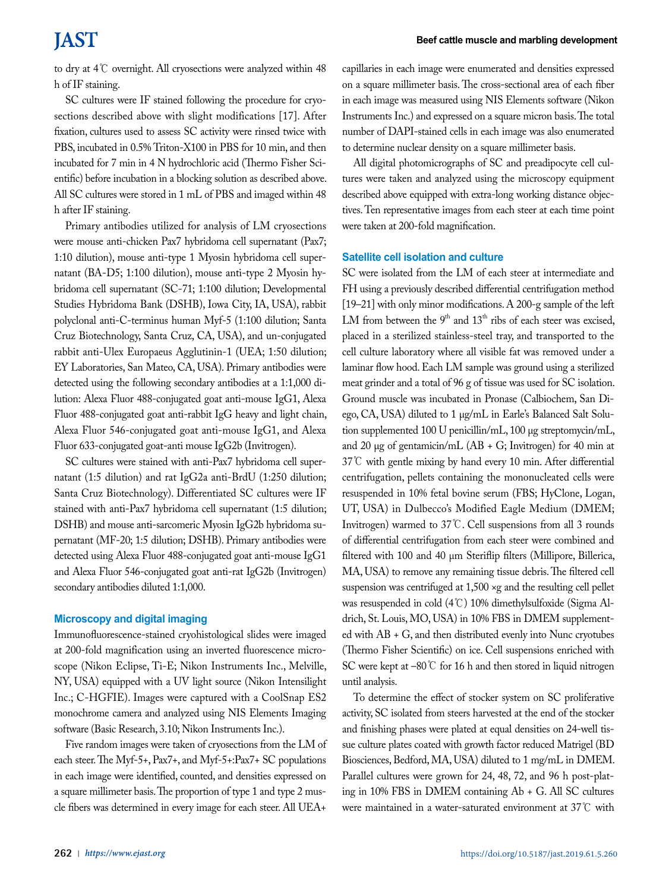to dry at 4℃ overnight. All cryosections were analyzed within 48 h of IF staining.

SC cultures were IF stained following the procedure for cryosections described above with slight modifications [17]. After fixation, cultures used to assess SC activity were rinsed twice with PBS, incubated in 0.5% Triton-X100 in PBS for 10 min, and then incubated for 7 min in 4 N hydrochloric acid (Thermo Fisher Scientific) before incubation in a blocking solution as described above. All SC cultures were stored in 1 mL of PBS and imaged within 48 h after IF staining.

Primary antibodies utilized for analysis of LM cryosections were mouse anti-chicken Pax7 hybridoma cell supernatant (Pax7; 1:10 dilution), mouse anti-type 1 Myosin hybridoma cell supernatant (BA-D5; 1:100 dilution), mouse anti-type 2 Myosin hybridoma cell supernatant (SC-71; 1:100 dilution; Developmental Studies Hybridoma Bank (DSHB), Iowa City, IA, USA), rabbit polyclonal anti-C-terminus human Myf-5 (1:100 dilution; Santa Cruz Biotechnology, Santa Cruz, CA, USA), and un-conjugated rabbit anti-Ulex Europaeus Agglutinin-1 (UEA; 1:50 dilution; EY Laboratories, San Mateo, CA, USA). Primary antibodies were detected using the following secondary antibodies at a 1:1,000 dilution: Alexa Fluor 488-conjugated goat anti-mouse IgG1, Alexa Fluor 488-conjugated goat anti-rabbit IgG heavy and light chain, Alexa Fluor 546-conjugated goat anti-mouse IgG1, and Alexa Fluor 633-conjugated goat-anti mouse IgG2b (Invitrogen).

SC cultures were stained with anti-Pax7 hybridoma cell supernatant (1:5 dilution) and rat IgG2a anti-BrdU (1:250 dilution; Santa Cruz Biotechnology). Differentiated SC cultures were IF stained with anti-Pax7 hybridoma cell supernatant (1:5 dilution; DSHB) and mouse anti-sarcomeric Myosin IgG2b hybridoma supernatant (MF-20; 1:5 dilution; DSHB). Primary antibodies were detected using Alexa Fluor 488-conjugated goat anti-mouse IgG1 and Alexa Fluor 546-conjugated goat anti-rat IgG2b (Invitrogen) secondary antibodies diluted 1:1,000.

### **Microscopy and digital imaging**

Immunofluorescence-stained cryohistological slides were imaged at 200-fold magnification using an inverted fluorescence microscope (Nikon Eclipse, Ti-E; Nikon Instruments Inc., Melville, NY, USA) equipped with a UV light source (Nikon Intensilight Inc.; C-HGFIE). Images were captured with a CoolSnap ES2 monochrome camera and analyzed using NIS Elements Imaging software (Basic Research, 3.10; Nikon Instruments Inc.).

Five random images were taken of cryosections from the LM of each steer. The Myf-5+, Pax7+, and Myf-5+:Pax7+ SC populations in each image were identified, counted, and densities expressed on a square millimeter basis. The proportion of type 1 and type 2 muscle fibers was determined in every image for each steer. All UEA+

capillaries in each image were enumerated and densities expressed on a square millimeter basis. The cross-sectional area of each fiber in each image was measured using NIS Elements software (Nikon Instruments Inc.) and expressed on a square micron basis. The total number of DAPI-stained cells in each image was also enumerated to determine nuclear density on a square millimeter basis.

All digital photomicrographs of SC and preadipocyte cell cultures were taken and analyzed using the microscopy equipment described above equipped with extra-long working distance objectives. Ten representative images from each steer at each time point were taken at 200-fold magnification.

#### **Satellite cell isolation and culture**

SC were isolated from the LM of each steer at intermediate and FH using a previously described differential centrifugation method [19–21] with only minor modifications. A 200-g sample of the left LM from between the  $9<sup>th</sup>$  and  $13<sup>th</sup>$  ribs of each steer was excised, placed in a sterilized stainless-steel tray, and transported to the cell culture laboratory where all visible fat was removed under a laminar flow hood. Each LM sample was ground using a sterilized meat grinder and a total of 96 g of tissue was used for SC isolation. Ground muscle was incubated in Pronase (Calbiochem, San Diego, CA, USA) diluted to 1 µg/mL in Earle's Balanced Salt Solution supplemented 100 U penicillin/mL, 100 µg streptomycin/mL, and 20  $\mu$ g of gentamicin/mL (AB + G; Invitrogen) for 40 min at 37℃ with gentle mixing by hand every 10 min. After differential centrifugation, pellets containing the mononucleated cells were resuspended in 10% fetal bovine serum (FBS; HyClone, Logan, UT, USA) in Dulbecco's Modified Eagle Medium (DMEM; Invitrogen) warmed to 37℃. Cell suspensions from all 3 rounds of differential centrifugation from each steer were combined and filtered with 100 and 40 µm Steriflip filters (Millipore, Billerica, MA, USA) to remove any remaining tissue debris. The filtered cell suspension was centrifuged at 1,500 ×g and the resulting cell pellet was resuspended in cold (4℃) 10% dimethylsulfoxide (Sigma Aldrich, St. Louis, MO, USA) in 10% FBS in DMEM supplemented with AB + G, and then distributed evenly into Nunc cryotubes (Thermo Fisher Scientific) on ice. Cell suspensions enriched with SC were kept at –80℃ for 16 h and then stored in liquid nitrogen until analysis.

To determine the effect of stocker system on SC proliferative activity, SC isolated from steers harvested at the end of the stocker and finishing phases were plated at equal densities on 24-well tissue culture plates coated with growth factor reduced Matrigel (BD Biosciences, Bedford, MA, USA) diluted to 1 mg/mL in DMEM. Parallel cultures were grown for 24, 48, 72, and 96 h post-plating in 10% FBS in DMEM containing Ab + G. All SC cultures were maintained in a water-saturated environment at 37℃ with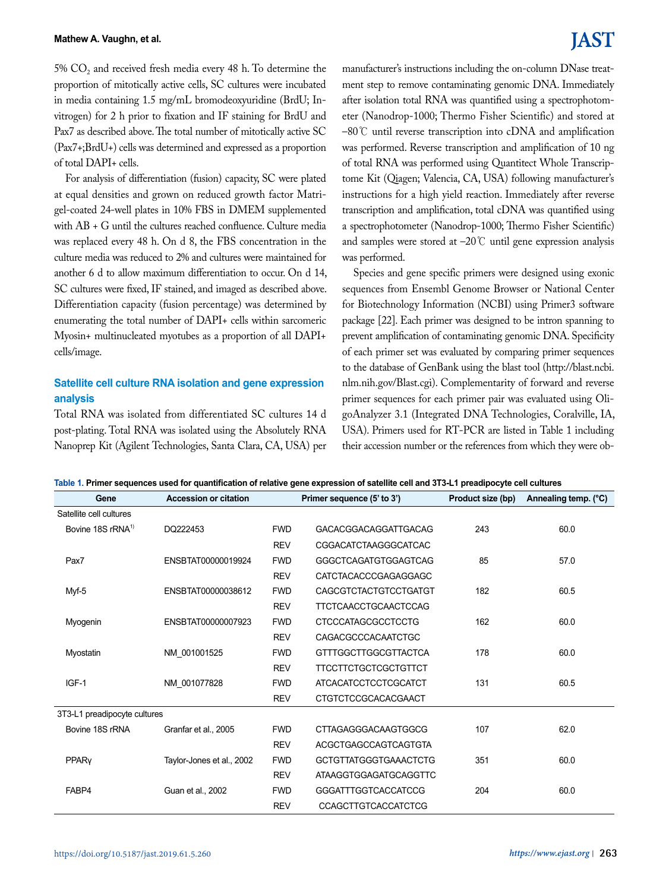#### **Mathew A. Vaughn, et al.**

5%  $CO<sub>2</sub>$  and received fresh media every 48 h. To determine the proportion of mitotically active cells, SC cultures were incubated in media containing 1.5 mg/mL bromodeoxyuridine (BrdU; Invitrogen) for 2 h prior to fixation and IF staining for BrdU and Pax7 as described above. The total number of mitotically active SC (Pax7+;BrdU+) cells was determined and expressed as a proportion of total DAPI+ cells.

For analysis of differentiation (fusion) capacity, SC were plated at equal densities and grown on reduced growth factor Matrigel-coated 24-well plates in 10% FBS in DMEM supplemented with AB + G until the cultures reached confluence. Culture media was replaced every 48 h. On d 8, the FBS concentration in the culture media was reduced to 2% and cultures were maintained for another 6 d to allow maximum differentiation to occur. On d 14, SC cultures were fixed, IF stained, and imaged as described above. Differentiation capacity (fusion percentage) was determined by enumerating the total number of DAPI+ cells within sarcomeric Myosin+ multinucleated myotubes as a proportion of all DAPI+ cells/image.

## **Satellite cell culture RNA isolation and gene expression analysis**

Total RNA was isolated from differentiated SC cultures 14 d post-plating. Total RNA was isolated using the Absolutely RNA Nanoprep Kit (Agilent Technologies, Santa Clara, CA, USA) per

# **IAST**

manufacturer's instructions including the on-column DNase treatment step to remove contaminating genomic DNA. Immediately after isolation total RNA was quantified using a spectrophotometer (Nanodrop-1000; Thermo Fisher Scientific) and stored at –80℃ until reverse transcription into cDNA and amplification was performed. Reverse transcription and amplification of 10 ng of total RNA was performed using Quantitect Whole Transcriptome Kit (Qiagen; Valencia, CA, USA) following manufacturer's instructions for a high yield reaction. Immediately after reverse transcription and amplification, total cDNA was quantified using a spectrophotometer (Nanodrop-1000; Thermo Fisher Scientific) and samples were stored at –20℃ until gene expression analysis was performed.

Species and gene specific primers were designed using exonic sequences from Ensembl Genome Browser or National Center for Biotechnology Information (NCBI) using Primer3 software package [22]. Each primer was designed to be intron spanning to prevent amplification of contaminating genomic DNA. Specificity of each primer set was evaluated by comparing primer sequences to the database of GenBank using the blast tool [\(http://blast.ncbi.](http://blast.ncbi.nlm.nih.gov/Blast.cgi) [nlm.nih.gov/Blast.cgi\)](http://blast.ncbi.nlm.nih.gov/Blast.cgi). Complementarity of forward and reverse primer sequences for each primer pair was evaluated using OligoAnalyzer 3.1 (Integrated DNA Technologies, Coralville, IA, USA). Primers used for RT-PCR are listed in Table 1 including their accession number or the references from which they were ob-

|  |  |  |  |  | Table 1. Primer sequences used for quantification of relative gene expression of satellite cell and 3T3-L1 preadipocyte cell cultures |  |
|--|--|--|--|--|---------------------------------------------------------------------------------------------------------------------------------------|--|
|--|--|--|--|--|---------------------------------------------------------------------------------------------------------------------------------------|--|

| Gene                          | <b>Accession or citation</b> | Primer sequence (5' to 3') |                              | Product size (bp) | Annealing temp. (°C) |
|-------------------------------|------------------------------|----------------------------|------------------------------|-------------------|----------------------|
| Satellite cell cultures       |                              |                            |                              |                   |                      |
| Bovine 18S rRNA <sup>1)</sup> | DQ222453                     | <b>FWD</b>                 | <b>GACACGGACAGGATTGACAG</b>  | 243               | 60.0                 |
|                               |                              | <b>REV</b>                 | <b>CGGACATCTAAGGGCATCAC</b>  |                   |                      |
| Pax7                          | ENSBTAT00000019924           | <b>FWD</b>                 | GGGCTCAGATGTGGAGTCAG         | 85                | 57.0                 |
|                               |                              | <b>REV</b>                 | <b>CATCTACACCCGAGAGGAGC</b>  |                   |                      |
| Myf-5                         | ENSBTAT00000038612           | <b>FWD</b>                 | <b>CAGCGTCTACTGTCCTGATGT</b> | 182               | 60.5                 |
|                               |                              | <b>REV</b>                 | <b>TTCTCAACCTGCAACTCCAG</b>  |                   |                      |
| Myogenin                      | ENSBTAT00000007923           | <b>FWD</b>                 | <b>CTCCCATAGCGCCTCCTG</b>    | 162               | 60.0                 |
|                               |                              | <b>REV</b>                 | <b>CAGACGCCCACAATCTGC</b>    |                   |                      |
| Myostatin                     | NM 001001525                 | <b>FWD</b>                 | <b>GTTTGGCTTGGCGTTACTCA</b>  | 178               | 60.0                 |
|                               |                              | <b>REV</b>                 | <b>TTCCTTCTGCTCGCTGTTCT</b>  |                   |                      |
| IGF-1                         | NM 001077828                 | <b>FWD</b>                 | <b>ATCACATCCTCCTCGCATCT</b>  | 131               | 60.5                 |
|                               |                              | <b>REV</b>                 | <b>CTGTCTCCGCACACGAACT</b>   |                   |                      |
| 3T3-L1 preadipocyte cultures  |                              |                            |                              |                   |                      |
| Bovine 18S rRNA               | Granfar et al., 2005         | <b>FWD</b>                 | <b>CTTAGAGGGACAAGTGGCG</b>   | 107               | 62.0                 |
|                               |                              | <b>REV</b>                 | <b>ACGCTGAGCCAGTCAGTGTA</b>  |                   |                      |
| PPARy                         | Taylor-Jones et al., 2002    | <b>FWD</b>                 | <b>GCTGTTATGGGTGAAACTCTG</b> | 351               | 60.0                 |
|                               |                              | <b>REV</b>                 | ATAAGGTGGAGATGCAGGTTC        |                   |                      |
| FABP4                         | Guan et al., 2002            | <b>FWD</b>                 | <b>GGGATTTGGTCACCATCCG</b>   | 204               | 60.0                 |
|                               |                              | <b>REV</b>                 | <b>CCAGCTTGTCACCATCTCG</b>   |                   |                      |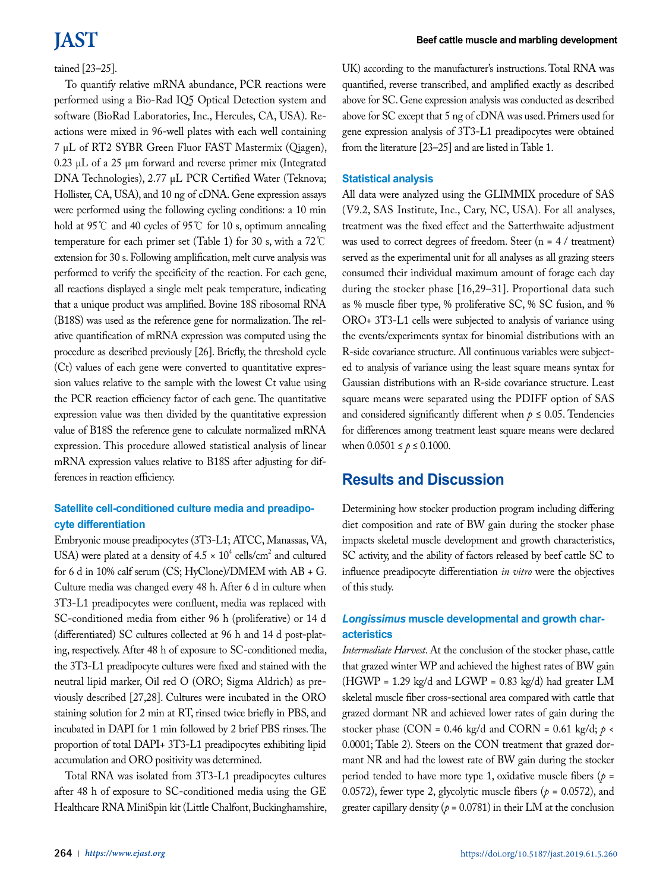## tained [23–25].

To quantify relative mRNA abundance, PCR reactions were performed using a Bio-Rad IQ5 Optical Detection system and software (BioRad Laboratories, Inc., Hercules, CA, USA). Reactions were mixed in 96-well plates with each well containing 7 µL of RT2 SYBR Green Fluor FAST Mastermix (Qiagen), 0.23 µL of a 25 µm forward and reverse primer mix (Integrated DNA Technologies), 2.77 µL PCR Certified Water (Teknova; Hollister, CA, USA), and 10 ng of cDNA. Gene expression assays were performed using the following cycling conditions: a 10 min hold at 95℃ and 40 cycles of 95℃ for 10 s, optimum annealing temperature for each primer set (Table 1) for 30 s, with a 72℃ extension for 30 s. Following amplification, melt curve analysis was performed to verify the specificity of the reaction. For each gene, all reactions displayed a single melt peak temperature, indicating that a unique product was amplified. Bovine 18S ribosomal RNA (B18S) was used as the reference gene for normalization. The relative quantification of mRNA expression was computed using the procedure as described previously [26]. Briefly, the threshold cycle (Ct) values of each gene were converted to quantitative expression values relative to the sample with the lowest Ct value using the PCR reaction efficiency factor of each gene. The quantitative expression value was then divided by the quantitative expression value of B18S the reference gene to calculate normalized mRNA expression. This procedure allowed statistical analysis of linear mRNA expression values relative to B18S after adjusting for differences in reaction efficiency.

## **Satellite cell-conditioned culture media and preadipocyte differentiation**

Embryonic mouse preadipocytes (3T3-L1; ATCC, Manassas, VA, USA) were plated at a density of  $4.5 \times 10^4$  cells/cm<sup>2</sup> and cultured for 6 d in 10% calf serum (CS; HyClone)/DMEM with AB + G. Culture media was changed every 48 h. After 6 d in culture when 3T3-L1 preadipocytes were confluent, media was replaced with SC-conditioned media from either 96 h (proliferative) or 14 d (differentiated) SC cultures collected at 96 h and 14 d post-plating, respectively. After 48 h of exposure to SC-conditioned media, the 3T3-L1 preadipocyte cultures were fixed and stained with the neutral lipid marker, Oil red O (ORO; Sigma Aldrich) as previously described [27,28]. Cultures were incubated in the ORO staining solution for 2 min at RT, rinsed twice briefly in PBS, and incubated in DAPI for 1 min followed by 2 brief PBS rinses. The proportion of total DAPI+ 3T3-L1 preadipocytes exhibiting lipid accumulation and ORO positivity was determined.

Total RNA was isolated from 3T3-L1 preadipocytes cultures after 48 h of exposure to SC-conditioned media using the GE Healthcare RNA MiniSpin kit (Little Chalfont, Buckinghamshire, UK) according to the manufacturer's instructions. Total RNA was quantified, reverse transcribed, and amplified exactly as described above for SC. Gene expression analysis was conducted as described above for SC except that 5 ng of cDNA was used. Primers used for gene expression analysis of 3T3-L1 preadipocytes were obtained from the literature [23–25] and are listed in Table 1.

## **Statistical analysis**

All data were analyzed using the GLIMMIX procedure of SAS (V9.2, SAS Institute, Inc., Cary, NC, USA). For all analyses, treatment was the fixed effect and the Satterthwaite adjustment was used to correct degrees of freedom. Steer (n = 4 / treatment) served as the experimental unit for all analyses as all grazing steers consumed their individual maximum amount of forage each day during the stocker phase [16,29–31]. Proportional data such as % muscle fiber type, % proliferative SC, % SC fusion, and % ORO+ 3T3-L1 cells were subjected to analysis of variance using the events/experiments syntax for binomial distributions with an R-side covariance structure. All continuous variables were subjected to analysis of variance using the least square means syntax for Gaussian distributions with an R-side covariance structure. Least square means were separated using the PDIFF option of SAS and considered significantly different when  $p \leq 0.05$ . Tendencies for differences among treatment least square means were declared when  $0.0501 \le p \le 0.1000$ .

## **Results and Discussion**

Determining how stocker production program including differing diet composition and rate of BW gain during the stocker phase impacts skeletal muscle development and growth characteristics, SC activity, and the ability of factors released by beef cattle SC to influence preadipocyte differentiation *in vitro* were the objectives of this study.

## *Longissimus* **muscle developmental and growth characteristics**

*Intermediate Harvest*. At the conclusion of the stocker phase, cattle that grazed winter WP and achieved the highest rates of BW gain (HGWP =  $1.29 \text{ kg/d}$  and LGWP = 0.83 kg/d) had greater LM skeletal muscle fiber cross-sectional area compared with cattle that grazed dormant NR and achieved lower rates of gain during the stocker phase (CON = 0.46 kg/d and CORN = 0.61 kg/d;  $p \lt \theta$ 0.0001; Table 2). Steers on the CON treatment that grazed dormant NR and had the lowest rate of BW gain during the stocker period tended to have more type 1, oxidative muscle fibers  $(p =$ 0.0572), fewer type 2, glycolytic muscle fibers ( $p = 0.0572$ ), and greater capillary density ( $p = 0.0781$ ) in their LM at the conclusion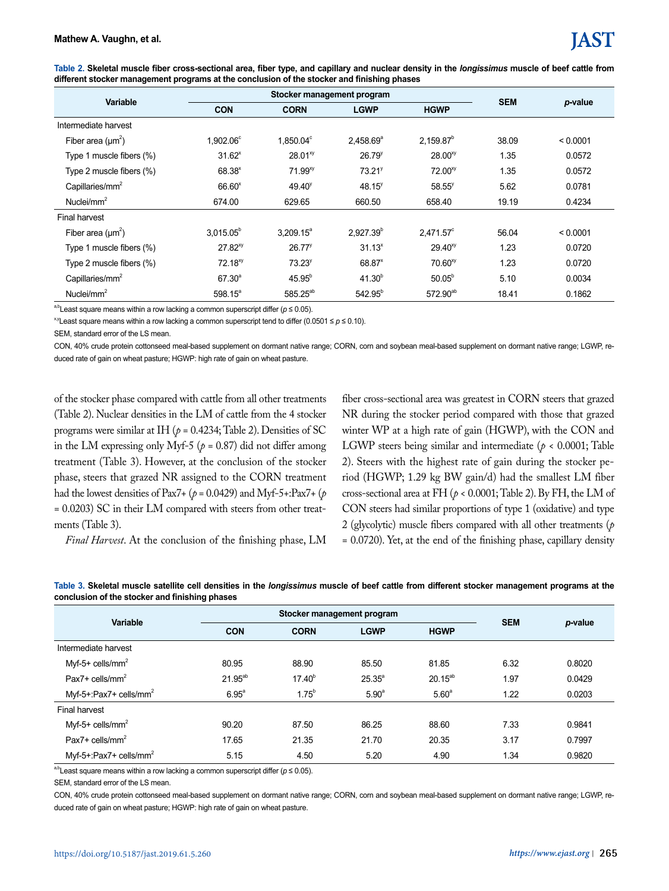| Table 2. Skeletal muscle fiber cross-sectional area, fiber type, and capillary and nuclear density in the longissimus muscle of beef cattle from |  |  |
|--------------------------------------------------------------------------------------------------------------------------------------------------|--|--|
| different stocker management programs at the conclusion of the stocker and finishing phases                                                      |  |  |

| <b>Variable</b>             |                    | Stocker management program | <b>SEM</b>           |                      |       |          |
|-----------------------------|--------------------|----------------------------|----------------------|----------------------|-------|----------|
|                             | <b>CON</b>         | <b>CORN</b>                | <b>LGWP</b>          | <b>HGWP</b>          |       | p-value  |
| Intermediate harvest        |                    |                            |                      |                      |       |          |
| Fiber area $(\mu m^2)$      | $1,902.06^{\circ}$ | $1.850.04^{\circ}$         | $2.458.69^{\circ}$   | $2.159.87^{b}$       | 38.09 | < 0.0001 |
| Type 1 muscle fibers $(\%)$ | $31.62^x$          | 28.01 <sup>xy</sup>        | $26.79$ <sup>y</sup> | $28.00^{xy}$         | 1.35  | 0.0572   |
| Type 2 muscle fibers (%)    | $68.38*$           | $71.99^{xy}$               | 73.21 <sup>9</sup>   | $72.00^{xy}$         | 1.35  | 0.0572   |
| Canillaries/mm <sup>2</sup> | $66.60*$           | $49.40^{\circ}$            | 48.15 <sup>y</sup>   | $58.55^y$            | 5.62  | 0.0781   |
| Nuclei/ $mm2$               | 674.00             | 629.65                     | 660.50               | 658.40               | 19.19 | 0.4234   |
| Final harvest               |                    |                            |                      |                      |       |          |
| Fiber area $(\mu m^2)$      | $3.015.05^b$       | $3.209.15^a$               | $2.927.39^{b}$       | $2.471.57^{\circ}$   | 56.04 | < 0.0001 |
| Type 1 muscle fibers $(\%)$ | $27.82^{xy}$       | $26.77$ <sup>y</sup>       | $31.13^{x}$          | $29.40^{xy}$         | 1.23  | 0.0720   |
| Type 2 muscle fibers (%)    | $72.18^{xy}$       | 73.23 <sup>y</sup>         | 68.87 <sup>x</sup>   | $70.60^{xy}$         | 1.23  | 0.0720   |
| Capillaries/ $mm2$          | $67.30^{a}$        | $45.95^{b}$                | $41.30^{b}$          | $50.05^{b}$          | 5.10  | 0.0034   |
| Nuclei/ $mm2$               | $598.15^a$         | 585.25 <sup>ab</sup>       | $542.95^{b}$         | 572.90 <sup>ab</sup> | 18.41 | 0.1862   |

<sup>a,b</sup>Least square means within a row lacking a common superscript differ ( $p \le 0.05$ ).

x,yLeast square means within a row lacking a common superscript tend to differ (0.0501 ≤ *p* ≤ 0.10).

SEM, standard error of the LS mean.

CON, 40% crude protein cottonseed meal-based supplement on dormant native range; CORN, corn and soybean meal-based supplement on dormant native range; LGWP, reduced rate of gain on wheat pasture; HGWP: high rate of gain on wheat pasture.

of the stocker phase compared with cattle from all other treatments (Table 2). Nuclear densities in the LM of cattle from the 4 stocker programs were similar at IH ( $p = 0.4234$ ; Table 2). Densities of SC in the LM expressing only Myf-5 ( $p = 0.87$ ) did not differ among treatment (Table 3). However, at the conclusion of the stocker phase, steers that grazed NR assigned to the CORN treatment had the lowest densities of Pax7+ (*p* = 0.0429) and Myf-5+:Pax7+ (*p* = 0.0203) SC in their LM compared with steers from other treatments (Table 3).

*Final Harvest*. At the conclusion of the finishing phase, LM

fiber cross-sectional area was greatest in CORN steers that grazed NR during the stocker period compared with those that grazed winter WP at a high rate of gain (HGWP), with the CON and LGWP steers being similar and intermediate (*p* < 0.0001; Table 2). Steers with the highest rate of gain during the stocker period (HGWP; 1.29 kg BW gain/d) had the smallest LM fiber cross-sectional area at FH (*p* < 0.0001; Table 2). By FH, the LM of CON steers had similar proportions of type 1 (oxidative) and type 2 (glycolytic) muscle fibers compared with all other treatments (*p* = 0.0720). Yet, at the end of the finishing phase, capillary density

| Variable                           |                | Stocker management program |                   |                   |            |         |
|------------------------------------|----------------|----------------------------|-------------------|-------------------|------------|---------|
|                                    | <b>CON</b>     | <b>CORN</b>                | <b>LGWP</b>       | <b>HGWP</b>       | <b>SEM</b> | p-value |
| Intermediate harvest               |                |                            |                   |                   |            |         |
| $Myf-5+$ cells/mm <sup>2</sup>     | 80.95          | 88.90                      | 85.50             | 81.85             | 6.32       | 0.8020  |
| Pax7+ cells/mm <sup>2</sup>        | $21.95^{ab}$   | $17.40^{b}$                | $25.35^{a}$       | $20.15^{ab}$      | 1.97       | 0.0429  |
| Myf-5+:Pax7+ cells/mm <sup>2</sup> | $6.95^{\circ}$ | $1.75^{b}$                 | 5.90 <sup>a</sup> | 5.60 <sup>a</sup> | 1.22       | 0.0203  |
| Final harvest                      |                |                            |                   |                   |            |         |
| $Myf-5+ cells/mm2$                 | 90.20          | 87.50                      | 86.25             | 88.60             | 7.33       | 0.9841  |
| Pax7+ cells/mm <sup>2</sup>        | 17.65          | 21.35                      | 21.70             | 20.35             | 3.17       | 0.7997  |
| Myf-5+:Pax7+ cells/mm <sup>2</sup> | 5.15           | 4.50                       | 5.20              | 4.90              | 1.34       | 0.9820  |

**Table 3. Skeletal muscle satellite cell densities in the** *longissimus* **muscle of beef cattle from different stocker management programs at the conclusion of the stocker and finishing phases**

<sup>a,b</sup>Least square means within a row lacking a common superscript differ (*p* ≤ 0.05).

SEM, standard error of the LS mean.

CON, 40% crude protein cottonseed meal-based supplement on dormant native range; CORN, corn and soybean meal-based supplement on dormant native range; LGWP, reduced rate of gain on wheat pasture; HGWP: high rate of gain on wheat pasture.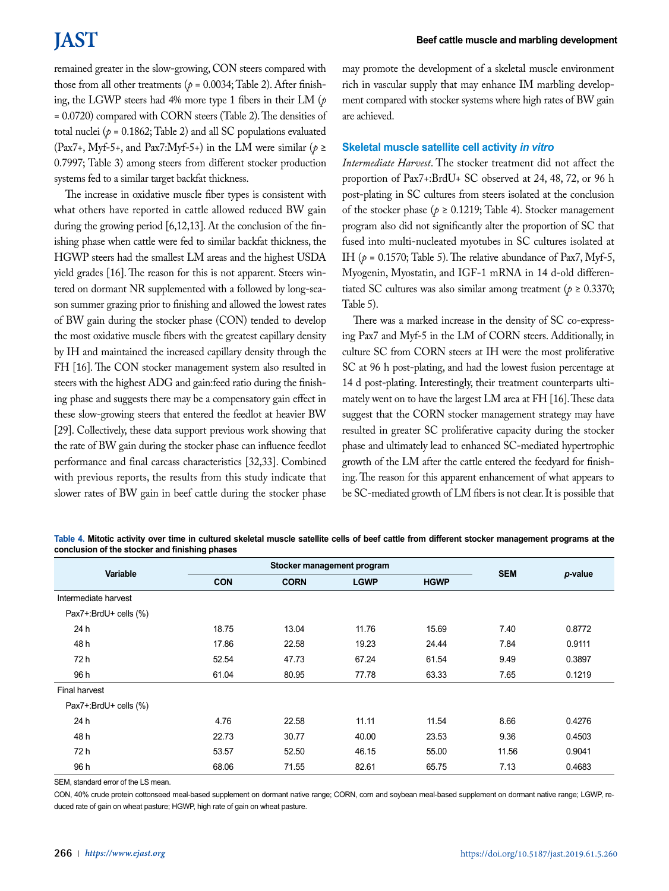remained greater in the slow-growing, CON steers compared with those from all other treatments ( $p = 0.0034$ ; Table 2). After finishing, the LGWP steers had 4% more type 1 fibers in their LM (*p* = 0.0720) compared with CORN steers (Table 2). The densities of total nuclei ( $p = 0.1862$ ; Table 2) and all SC populations evaluated (Pax7+, Myf-5+, and Pax7:Myf-5+) in the LM were similar ( $p \ge$ 0.7997; Table 3) among steers from different stocker production systems fed to a similar target backfat thickness.

The increase in oxidative muscle fiber types is consistent with what others have reported in cattle allowed reduced BW gain during the growing period [6,12,13]. At the conclusion of the finishing phase when cattle were fed to similar backfat thickness, the HGWP steers had the smallest LM areas and the highest USDA yield grades [16]. The reason for this is not apparent. Steers wintered on dormant NR supplemented with a followed by long-season summer grazing prior to finishing and allowed the lowest rates of BW gain during the stocker phase (CON) tended to develop the most oxidative muscle fibers with the greatest capillary density by IH and maintained the increased capillary density through the FH [16]. The CON stocker management system also resulted in steers with the highest ADG and gain:feed ratio during the finishing phase and suggests there may be a compensatory gain effect in these slow-growing steers that entered the feedlot at heavier BW [29]. Collectively, these data support previous work showing that the rate of BW gain during the stocker phase can influence feedlot performance and final carcass characteristics [32,33]. Combined with previous reports, the results from this study indicate that slower rates of BW gain in beef cattle during the stocker phase may promote the development of a skeletal muscle environment rich in vascular supply that may enhance IM marbling development compared with stocker systems where high rates of BW gain are achieved.

## **Skeletal muscle satellite cell activity** *in vitro*

*Intermediate Harvest*. The stocker treatment did not affect the proportion of Pax7+:BrdU+ SC observed at 24, 48, 72, or 96 h post-plating in SC cultures from steers isolated at the conclusion of the stocker phase ( $p \ge 0.1219$ ; Table 4). Stocker management program also did not significantly alter the proportion of SC that fused into multi-nucleated myotubes in SC cultures isolated at IH ( $p = 0.1570$ ; Table 5). The relative abundance of Pax7, Myf-5, Myogenin, Myostatin, and IGF-1 mRNA in 14 d-old differentiated SC cultures was also similar among treatment ( $p \ge 0.3370$ ; Table 5).

There was a marked increase in the density of SC co-expressing Pax7 and Myf-5 in the LM of CORN steers. Additionally, in culture SC from CORN steers at IH were the most proliferative SC at 96 h post-plating, and had the lowest fusion percentage at 14 d post-plating. Interestingly, their treatment counterparts ultimately went on to have the largest LM area at FH [16]. These data suggest that the CORN stocker management strategy may have resulted in greater SC proliferative capacity during the stocker phase and ultimately lead to enhanced SC-mediated hypertrophic growth of the LM after the cattle entered the feedyard for finishing. The reason for this apparent enhancement of what appears to be SC-mediated growth of LM fibers is not clear. It is possible that

**Table 4. Mitotic activity over time in cultured skeletal muscle satellite cells of beef cattle from different stocker management programs at the conclusion of the stocker and finishing phases**

| Variable              |            | Stocker management program | <b>SEM</b>  |             |       |         |
|-----------------------|------------|----------------------------|-------------|-------------|-------|---------|
|                       | <b>CON</b> | <b>CORN</b>                | <b>LGWP</b> | <b>HGWP</b> |       | p-value |
| Intermediate harvest  |            |                            |             |             |       |         |
| Pax7+:BrdU+ cells (%) |            |                            |             |             |       |         |
| 24 h                  | 18.75      | 13.04                      | 11.76       | 15.69       | 7.40  | 0.8772  |
| 48 h                  | 17.86      | 22.58                      | 19.23       | 24.44       | 7.84  | 0.9111  |
| 72 h                  | 52.54      | 47.73                      | 67.24       | 61.54       | 9.49  | 0.3897  |
| 96 h                  | 61.04      | 80.95                      | 77.78       | 63.33       | 7.65  | 0.1219  |
| <b>Final harvest</b>  |            |                            |             |             |       |         |
| Pax7+:BrdU+ cells (%) |            |                            |             |             |       |         |
| 24 h                  | 4.76       | 22.58                      | 11.11       | 11.54       | 8.66  | 0.4276  |
| 48 h                  | 22.73      | 30.77                      | 40.00       | 23.53       | 9.36  | 0.4503  |
| 72 h                  | 53.57      | 52.50                      | 46.15       | 55.00       | 11.56 | 0.9041  |
| 96 h                  | 68.06      | 71.55                      | 82.61       | 65.75       | 7.13  | 0.4683  |

SEM, standard error of the LS mean.

CON, 40% crude protein cottonseed meal-based supplement on dormant native range; CORN, corn and soybean meal-based supplement on dormant native range; LGWP, reduced rate of gain on wheat pasture; HGWP, high rate of gain on wheat pasture.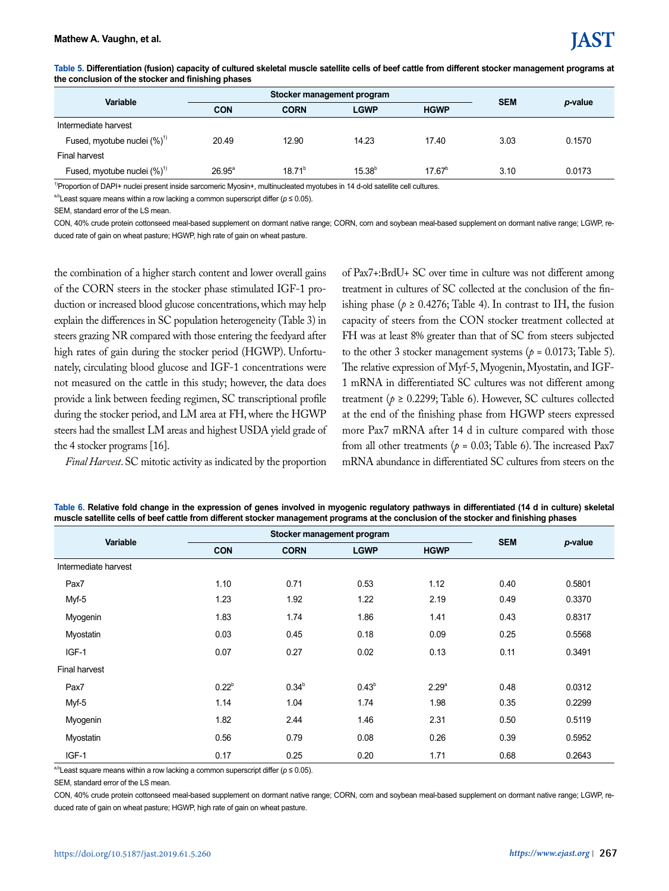| and domolaonom or and otobitch and minorinity phases |                 |                            |             |                 |      |         |  |
|------------------------------------------------------|-----------------|----------------------------|-------------|-----------------|------|---------|--|
| <b>Variable</b>                                      |                 | Stocker management program | <b>SEM</b>  |                 |      |         |  |
|                                                      | <b>CON</b>      | <b>CORN</b>                | <b>LGWP</b> | <b>HGWP</b>     |      | p-value |  |
| Intermediate harvest                                 |                 |                            |             |                 |      |         |  |
| Fused, myotube nuclei $(\%)^1$                       | 20.49           | 12.90                      | 14.23       | 17.40           | 3.03 | 0.1570  |  |
| <b>Final harvest</b>                                 |                 |                            |             |                 |      |         |  |
| Fused, myotube nuclei $(\%)^1$                       | $26.95^{\circ}$ | $18.71^{b}$                | $15.38^{b}$ | $17.67^{\circ}$ | 3.10 | 0.0173  |  |

**Table 5. Differentiation (fusion) capacity of cultured skeletal muscle satellite cells of beef cattle from different stocker management programs at the conclusion of the stocker and finishing phases**

1)Proportion of DAPI+ nuclei present inside sarcomeric Myosin+, multinucleated myotubes in 14 d-old satellite cell cultures.

<sup>a,b</sup>Least square means within a row lacking a common superscript differ (*p* ≤ 0.05).

SEM, standard error of the LS mean.

CON, 40% crude protein cottonseed meal-based supplement on dormant native range; CORN, corn and soybean meal-based supplement on dormant native range; LGWP, reduced rate of gain on wheat pasture; HGWP, high rate of gain on wheat pasture.

the combination of a higher starch content and lower overall gains of the CORN steers in the stocker phase stimulated IGF-1 production or increased blood glucose concentrations, which may help explain the differences in SC population heterogeneity (Table 3) in steers grazing NR compared with those entering the feedyard after high rates of gain during the stocker period (HGWP). Unfortunately, circulating blood glucose and IGF-1 concentrations were not measured on the cattle in this study; however, the data does provide a link between feeding regimen, SC transcriptional profile during the stocker period, and LM area at FH, where the HGWP steers had the smallest LM areas and highest USDA yield grade of the 4 stocker programs [16].

*Final Harvest*. SC mitotic activity as indicated by the proportion

of Pax7+:BrdU+ SC over time in culture was not different among treatment in cultures of SC collected at the conclusion of the finishing phase ( $p \ge 0.4276$ ; Table 4). In contrast to IH, the fusion capacity of steers from the CON stocker treatment collected at FH was at least 8% greater than that of SC from steers subjected to the other 3 stocker management systems ( $p = 0.0173$ ; Table 5). The relative expression of Myf-5, Myogenin, Myostatin, and IGF-1 mRNA in differentiated SC cultures was not different among treatment ( $p \ge 0.2299$ ; Table 6). However, SC cultures collected at the end of the finishing phase from HGWP steers expressed more Pax7 mRNA after 14 d in culture compared with those from all other treatments ( $p = 0.03$ ; Table 6). The increased Pax7 mRNA abundance in differentiated SC cultures from steers on the

**Table 6. Relative fold change in the expression of genes involved in myogenic regulatory pathways in differentiated (14 d in culture) skeletal muscle satellite cells of beef cattle from different stocker management programs at the conclusion of the stocker and finishing phases**

| Variable             |            | Stocker management program                |                   | <b>SEM</b>        |      |         |  |
|----------------------|------------|-------------------------------------------|-------------------|-------------------|------|---------|--|
|                      | <b>CON</b> | <b>CORN</b><br><b>HGWP</b><br><b>LGWP</b> |                   |                   |      | p-value |  |
| Intermediate harvest |            |                                           |                   |                   |      |         |  |
| Pax7                 | 1.10       | 0.71                                      | 0.53              | 1.12              | 0.40 | 0.5801  |  |
| Myf-5                | 1.23       | 1.92                                      | 1.22              | 2.19              | 0.49 | 0.3370  |  |
| Myogenin             | 1.83       | 1.74                                      | 1.86              | 1.41              | 0.43 | 0.8317  |  |
| Myostatin            | 0.03       | 0.45                                      | 0.18              | 0.09              | 0.25 | 0.5568  |  |
| IGF-1                | 0.07       | 0.27                                      | 0.02              | 0.13              | 0.11 | 0.3491  |  |
| <b>Final harvest</b> |            |                                           |                   |                   |      |         |  |
| Pax7                 | $0.22^{b}$ | $0.34^{b}$                                | 0.43 <sup>b</sup> | 2.29 <sup>a</sup> | 0.48 | 0.0312  |  |
| Myf-5                | 1.14       | 1.04                                      | 1.74              | 1.98              | 0.35 | 0.2299  |  |
| Myogenin             | 1.82       | 2.44                                      | 1.46              | 2.31              | 0.50 | 0.5119  |  |
| Myostatin            | 0.56       | 0.79                                      | 0.08              | 0.26              | 0.39 | 0.5952  |  |
| IGF-1                | 0.17       | 0.25                                      | 0.20              | 1.71              | 0.68 | 0.2643  |  |

<sup>a,b</sup>Least square means within a row lacking a common superscript differ (*p* ≤ 0.05).

SEM, standard error of the LS mean.

CON, 40% crude protein cottonseed meal-based supplement on dormant native range; CORN, corn and soybean meal-based supplement on dormant native range; LGWP, reduced rate of gain on wheat pasture; HGWP, high rate of gain on wheat pasture.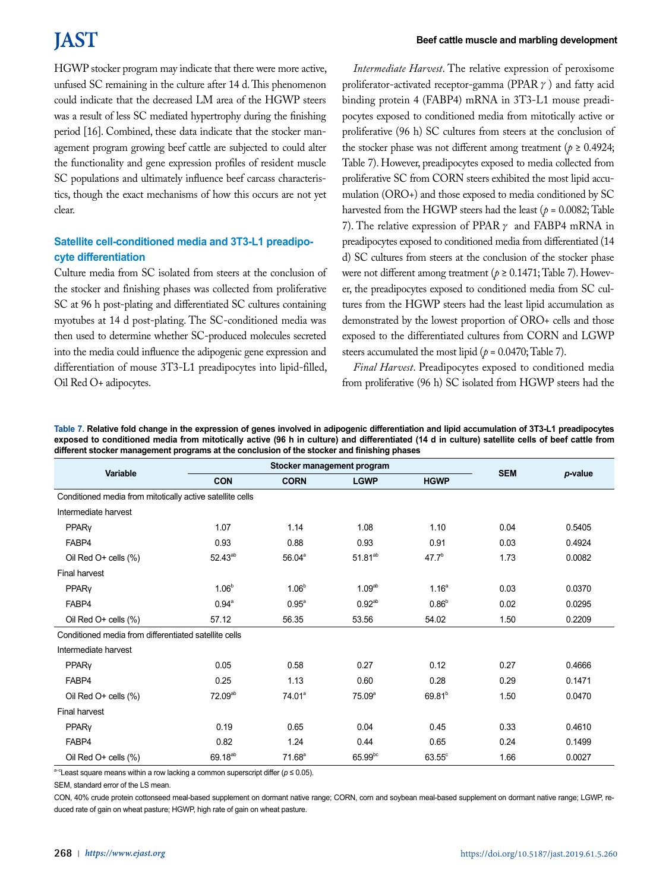HGWP stocker program may indicate that there were more active, unfused SC remaining in the culture after 14 d. This phenomenon could indicate that the decreased LM area of the HGWP steers was a result of less SC mediated hypertrophy during the finishing period [16]. Combined, these data indicate that the stocker management program growing beef cattle are subjected to could alter the functionality and gene expression profiles of resident muscle SC populations and ultimately influence beef carcass characteristics, though the exact mechanisms of how this occurs are not yet clear.

## **Satellite cell-conditioned media and 3T3-L1 preadipocyte differentiation**

Culture media from SC isolated from steers at the conclusion of the stocker and finishing phases was collected from proliferative SC at 96 h post-plating and differentiated SC cultures containing myotubes at 14 d post-plating. The SC-conditioned media was then used to determine whether SC-produced molecules secreted into the media could influence the adipogenic gene expression and differentiation of mouse 3T3-L1 preadipocytes into lipid-filled, Oil Red O+ adipocytes.

*Intermediate Harvest*. The relative expression of peroxisome proliferator-activated receptor-gamma (PPAR $\gamma$ ) and fatty acid binding protein 4 (FABP4) mRNA in 3T3-L1 mouse preadipocytes exposed to conditioned media from mitotically active or proliferative (96 h) SC cultures from steers at the conclusion of the stocker phase was not different among treatment ( $p \ge 0.4924$ ; Table 7). However, preadipocytes exposed to media collected from proliferative SC from CORN steers exhibited the most lipid accumulation (ORO+) and those exposed to media conditioned by SC harvested from the HGWP steers had the least ( $p = 0.0082$ ; Table 7). The relative expression of PPAR  $\gamma$  and FABP4 mRNA in preadipocytes exposed to conditioned media from differentiated (14 d) SC cultures from steers at the conclusion of the stocker phase were not different among treatment ( $p \ge 0.1471$ ; Table 7). However, the preadipocytes exposed to conditioned media from SC cultures from the HGWP steers had the least lipid accumulation as demonstrated by the lowest proportion of ORO+ cells and those exposed to the differentiated cultures from CORN and LGWP steers accumulated the most lipid ( $p = 0.0470$ ; Table 7).

*Final Harvest*. Preadipocytes exposed to conditioned media from proliferative (96 h) SC isolated from HGWP steers had the

| Table 7. Relative fold change in the expression of genes involved in adipogenic differentiation and lipid accumulation of 3T3-L1 preadipocytes  |
|-------------------------------------------------------------------------------------------------------------------------------------------------|
| exposed to conditioned media from mitotically active (96 h in culture) and differentiated (14 d in culture) satellite cells of beef cattle from |
| different stocker management programs at the conclusion of the stocker and finishing phases                                                     |

| Variable                                                  |                     | Stocker management program | <b>SEM</b>         |                    |      |         |
|-----------------------------------------------------------|---------------------|----------------------------|--------------------|--------------------|------|---------|
|                                                           | <b>CON</b>          | <b>CORN</b>                | <b>LGWP</b>        | <b>HGWP</b>        |      | p-value |
| Conditioned media from mitotically active satellite cells |                     |                            |                    |                    |      |         |
| Intermediate harvest                                      |                     |                            |                    |                    |      |         |
| PPARy                                                     | 1.07                | 1.14                       | 1.08               | 1.10               | 0.04 | 0.5405  |
| FABP4                                                     | 0.93                | 0.88                       | 0.93               | 0.91               | 0.03 | 0.4924  |
| Oil Red O+ cells (%)                                      | $52.43^{ab}$        | $56.04^{\circ}$            | $51.81^{ab}$       | $47.7^{b}$         | 1.73 | 0.0082  |
| <b>Final harvest</b>                                      |                     |                            |                    |                    |      |         |
| PPARy                                                     | $1.06^{\circ}$      | 1.06 <sup>b</sup>          | 1.09 <sup>ab</sup> | 1.16 <sup>a</sup>  | 0.03 | 0.0370  |
| FABP4                                                     | $0.94^{\circ}$      | 0.95 <sup>a</sup>          | $0.92^{ab}$        | $0.86^{b}$         | 0.02 | 0.0295  |
| Oil Red O+ cells (%)                                      | 57.12               | 56.35                      | 53.56              | 54.02              | 1.50 | 0.2209  |
| Conditioned media from differentiated satellite cells     |                     |                            |                    |                    |      |         |
| Intermediate harvest                                      |                     |                            |                    |                    |      |         |
| PPARy                                                     | 0.05                | 0.58                       | 0.27               | 0.12               | 0.27 | 0.4666  |
| FABP4                                                     | 0.25                | 1.13                       | 0.60               | 0.28               | 0.29 | 0.1471  |
| Oil Red O+ cells (%)                                      | 72.09 <sup>ab</sup> | 74.01 <sup>a</sup>         | 75.09 <sup>a</sup> | 69.81 <sup>b</sup> | 1.50 | 0.0470  |
| <b>Final harvest</b>                                      |                     |                            |                    |                    |      |         |
| PPARy                                                     | 0.19                | 0.65                       | 0.04               | 0.45               | 0.33 | 0.4610  |
| FABP4                                                     | 0.82                | 1.24                       | 0.44               | 0.65               | 0.24 | 0.1499  |
| Oil Red O+ cells (%)                                      | 69.18 <sup>ab</sup> | $71.68^a$                  | $65.99^{bc}$       | $63.55^{\circ}$    | 1.66 | 0.0027  |

<sup>a-c</sup>Least square means within a row lacking a common superscript differ (*p* ≤ 0.05).

SEM, standard error of the LS mean.

CON, 40% crude protein cottonseed meal-based supplement on dormant native range; CORN, corn and soybean meal-based supplement on dormant native range; LGWP, reduced rate of gain on wheat pasture; HGWP, high rate of gain on wheat pasture.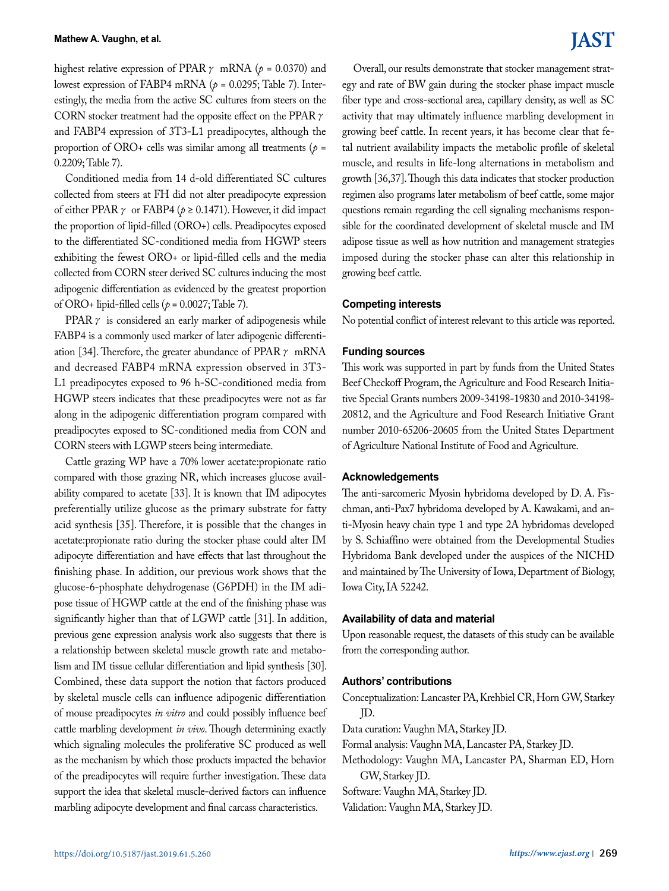highest relative expression of PPAR  $\gamma$  mRNA ( $\rho$  = 0.0370) and lowest expression of FABP4 mRNA ( $p = 0.0295$ ; Table 7). Interestingly, the media from the active SC cultures from steers on the CORN stocker treatment had the opposite effect on the PPAR  $\gamma$ and FABP4 expression of 3T3-L1 preadipocytes, although the proportion of ORO+ cells was similar among all treatments (*p* = 0.2209; Table 7).

Conditioned media from 14 d-old differentiated SC cultures collected from steers at FH did not alter preadipocyte expression of either PPAR  $\gamma$  or FABP4 ( $\rho \ge 0.1471$ ). However, it did impact the proportion of lipid-filled (ORO+) cells. Preadipocytes exposed to the differentiated SC-conditioned media from HGWP steers exhibiting the fewest ORO+ or lipid-filled cells and the media collected from CORN steer derived SC cultures inducing the most adipogenic differentiation as evidenced by the greatest proportion of ORO+ lipid-filled cells ( $p = 0.0027$ ; Table 7).

PPAR $\gamma$  is considered an early marker of adipogenesis while FABP4 is a commonly used marker of later adipogenic differentiation [34]. Therefore, the greater abundance of PPAR  $\gamma$  mRNA and decreased FABP4 mRNA expression observed in 3T3- L1 preadipocytes exposed to 96 h-SC-conditioned media from HGWP steers indicates that these preadipocytes were not as far along in the adipogenic differentiation program compared with preadipocytes exposed to SC-conditioned media from CON and CORN steers with LGWP steers being intermediate.

Cattle grazing WP have a 70% lower acetate:propionate ratio compared with those grazing NR, which increases glucose availability compared to acetate [33]. It is known that IM adipocytes preferentially utilize glucose as the primary substrate for fatty acid synthesis [35]. Therefore, it is possible that the changes in acetate:propionate ratio during the stocker phase could alter IM adipocyte differentiation and have effects that last throughout the finishing phase. In addition, our previous work shows that the glucose-6-phosphate dehydrogenase (G6PDH) in the IM adipose tissue of HGWP cattle at the end of the finishing phase was significantly higher than that of LGWP cattle [31]. In addition, previous gene expression analysis work also suggests that there is a relationship between skeletal muscle growth rate and metabolism and IM tissue cellular differentiation and lipid synthesis [30]. Combined, these data support the notion that factors produced by skeletal muscle cells can influence adipogenic differentiation of mouse preadipocytes *in vitro* and could possibly influence beef cattle marbling development *in vivo*. Though determining exactly which signaling molecules the proliferative SC produced as well as the mechanism by which those products impacted the behavior of the preadipocytes will require further investigation. These data support the idea that skeletal muscle-derived factors can influence marbling adipocyte development and final carcass characteristics.

Overall, our results demonstrate that stocker management strategy and rate of BW gain during the stocker phase impact muscle fiber type and cross-sectional area, capillary density, as well as SC activity that may ultimately influence marbling development in growing beef cattle. In recent years, it has become clear that fetal nutrient availability impacts the metabolic profile of skeletal muscle, and results in life-long alternations in metabolism and growth [36,37]. Though this data indicates that stocker production regimen also programs later metabolism of beef cattle, some major questions remain regarding the cell signaling mechanisms responsible for the coordinated development of skeletal muscle and IM adipose tissue as well as how nutrition and management strategies imposed during the stocker phase can alter this relationship in growing beef cattle.

## **Competing interests**

No potential conflict of interest relevant to this article was reported.

### **Funding sources**

This work was supported in part by funds from the United States Beef Checkoff Program, the Agriculture and Food Research Initiative Special Grants numbers 2009-34198-19830 and 2010-34198- 20812, and the Agriculture and Food Research Initiative Grant number 2010-65206-20605 from the United States Department of Agriculture National Institute of Food and Agriculture.

### **Acknowledgements**

The anti-sarcomeric Myosin hybridoma developed by D. A. Fischman, anti-Pax7 hybridoma developed by A. Kawakami, and anti-Myosin heavy chain type 1 and type 2A hybridomas developed by S. Schiaffino were obtained from the Developmental Studies Hybridoma Bank developed under the auspices of the NICHD and maintained by The University of Iowa, Department of Biology, Iowa City, IA 52242.

## **Availability of data and material**

Upon reasonable request, the datasets of this study can be available from the corresponding author.

### **Authors' contributions**

Conceptualization: Lancaster PA, Krehbiel CR, Horn GW, Starkey JD.

- Data curation: Vaughn MA, Starkey JD.
- Formal analysis: Vaughn MA, Lancaster PA, Starkey JD.
- Methodology: Vaughn MA, Lancaster PA, Sharman ED, Horn GW, Starkey JD.
- Software: Vaughn MA, Starkey JD.

Validation: Vaughn MA, Starkey JD.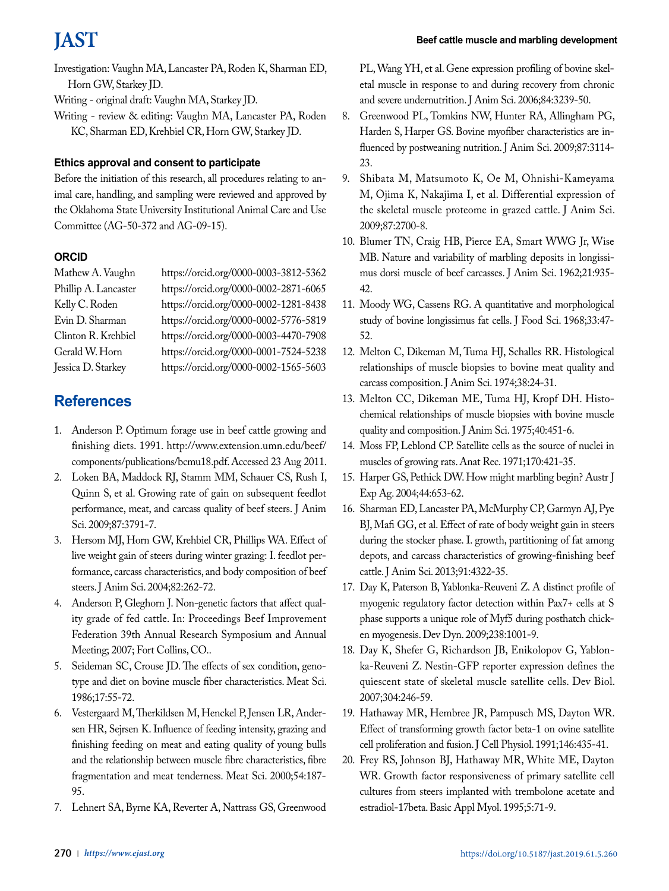Investigation: Vaughn MA, Lancaster PA, Roden K, Sharman ED, Horn GW, Starkey JD.

Writing - original draft: Vaughn MA, Starkey JD.

Writing - review & editing: Vaughn MA, Lancaster PA, Roden KC, Sharman ED, Krehbiel CR, Horn GW, Starkey JD.

## **Ethics approval and consent to participate**

Before the initiation of this research, all procedures relating to animal care, handling, and sampling were reviewed and approved by the Oklahoma State University Institutional Animal Care and Use Committee (AG-50-372 and AG-09-15).

## **ORCID**

Mathew A. Vaughn https://orcid.org/0000-0003-3812-5362 Phillip A. Lancaster https://orcid.org/0000-0002-2871-6065 Kelly C. Roden https://orcid.org/0000-0002-1281-8438 Evin D. Sharman https://orcid.org/0000-0002-5776-5819 Clinton R. Krehbiel https://orcid.org/0000-0003-4470-7908 Gerald W. Horn https://orcid.org/0000-0001-7524-5238 Jessica D. Starkey https://orcid.org/0000-0002-1565-5603

## **References**

- 1. Anderson P. Optimum forage use in beef cattle growing and finishing diets. 1991. [http://www.extension.umn.edu/beef/](http://www.extension.umn.edu/beef/components/publications/bcmu18.pdf.) [components/publications/bcmu18.pdf.](http://www.extension.umn.edu/beef/components/publications/bcmu18.pdf.) Accessed 23 Aug 2011.
- 2. Loken BA, Maddock RJ, Stamm MM, Schauer CS, Rush I, Quinn S, et al. Growing rate of gain on subsequent feedlot performance, meat, and carcass quality of beef steers. J Anim Sci. 2009;87:3791-7.
- 3. Hersom MJ, Horn GW, Krehbiel CR, Phillips WA. Effect of live weight gain of steers during winter grazing: I. feedlot performance, carcass characteristics, and body composition of beef steers. J Anim Sci. 2004;82:262-72.
- 4. Anderson P, Gleghorn J. Non-genetic factors that affect quality grade of fed cattle. In: Proceedings Beef Improvement Federation 39th Annual Research Symposium and Annual Meeting; 2007; Fort Collins, CO..
- 5. Seideman SC, Crouse JD. The effects of sex condition, genotype and diet on bovine muscle fiber characteristics. Meat Sci. 1986;17:55-72.
- 6. Vestergaard M, Therkildsen M, Henckel P, Jensen LR, Andersen HR, Sejrsen K. Influence of feeding intensity, grazing and finishing feeding on meat and eating quality of young bulls and the relationship between muscle fibre characteristics, fibre fragmentation and meat tenderness. Meat Sci. 2000;54:187- 95.
- 7. Lehnert SA, Byrne KA, Reverter A, Nattrass GS, Greenwood

PL, Wang YH, et al. Gene expression profiling of bovine skeletal muscle in response to and during recovery from chronic and severe undernutrition. J Anim Sci. 2006;84:3239-50.

- 8. Greenwood PL, Tomkins NW, Hunter RA, Allingham PG, Harden S, Harper GS. Bovine myofiber characteristics are influenced by postweaning nutrition. J Anim Sci. 2009;87:3114-23.
- 9. Shibata M, Matsumoto K, Oe M, Ohnishi-Kameyama M, Ojima K, Nakajima I, et al. Differential expression of the skeletal muscle proteome in grazed cattle. J Anim Sci. 2009;87:2700-8.
- 10. Blumer TN, Craig HB, Pierce EA, Smart WWG Jr, Wise MB. Nature and variability of marbling deposits in longissimus dorsi muscle of beef carcasses. J Anim Sci. 1962;21:935- 42.
- 11. Moody WG, Cassens RG. A quantitative and morphological study of bovine longissimus fat cells. J Food Sci. 1968;33:47- 52.
- 12. Melton C, Dikeman M, Tuma HJ, Schalles RR. Histological relationships of muscle biopsies to bovine meat quality and carcass composition. J Anim Sci. 1974;38:24-31.
- 13. Melton CC, Dikeman ME, Tuma HJ, Kropf DH. Histochemical relationships of muscle biopsies with bovine muscle quality and composition. J Anim Sci. 1975;40:451-6.
- 14. Moss FP, Leblond CP. Satellite cells as the source of nuclei in muscles of growing rats. Anat Rec. 1971;170:421-35.
- 15. Harper GS, Pethick DW. How might marbling begin? Austr J Exp Ag. 2004;44:653-62.
- 16. Sharman ED, Lancaster PA, McMurphy CP, Garmyn AJ, Pye BJ, Mafi GG, et al. Effect of rate of body weight gain in steers during the stocker phase. I. growth, partitioning of fat among depots, and carcass characteristics of growing-finishing beef cattle. J Anim Sci. 2013;91:4322-35.
- 17. Day K, Paterson B, Yablonka-Reuveni Z. A distinct profile of myogenic regulatory factor detection within Pax7+ cells at S phase supports a unique role of Myf5 during posthatch chicken myogenesis. Dev Dyn. 2009;238:1001-9.
- 18. Day K, Shefer G, Richardson JB, Enikolopov G, Yablonka-Reuveni Z. Nestin-GFP reporter expression defines the quiescent state of skeletal muscle satellite cells. Dev Biol. 2007;304:246-59.
- 19. Hathaway MR, Hembree JR, Pampusch MS, Dayton WR. Effect of transforming growth factor beta-1 on ovine satellite cell proliferation and fusion. J Cell Physiol. 1991;146:435-41.
- 20. Frey RS, Johnson BJ, Hathaway MR, White ME, Dayton WR. Growth factor responsiveness of primary satellite cell cultures from steers implanted with trembolone acetate and estradiol-17beta. Basic Appl Myol. 1995;5:71-9.